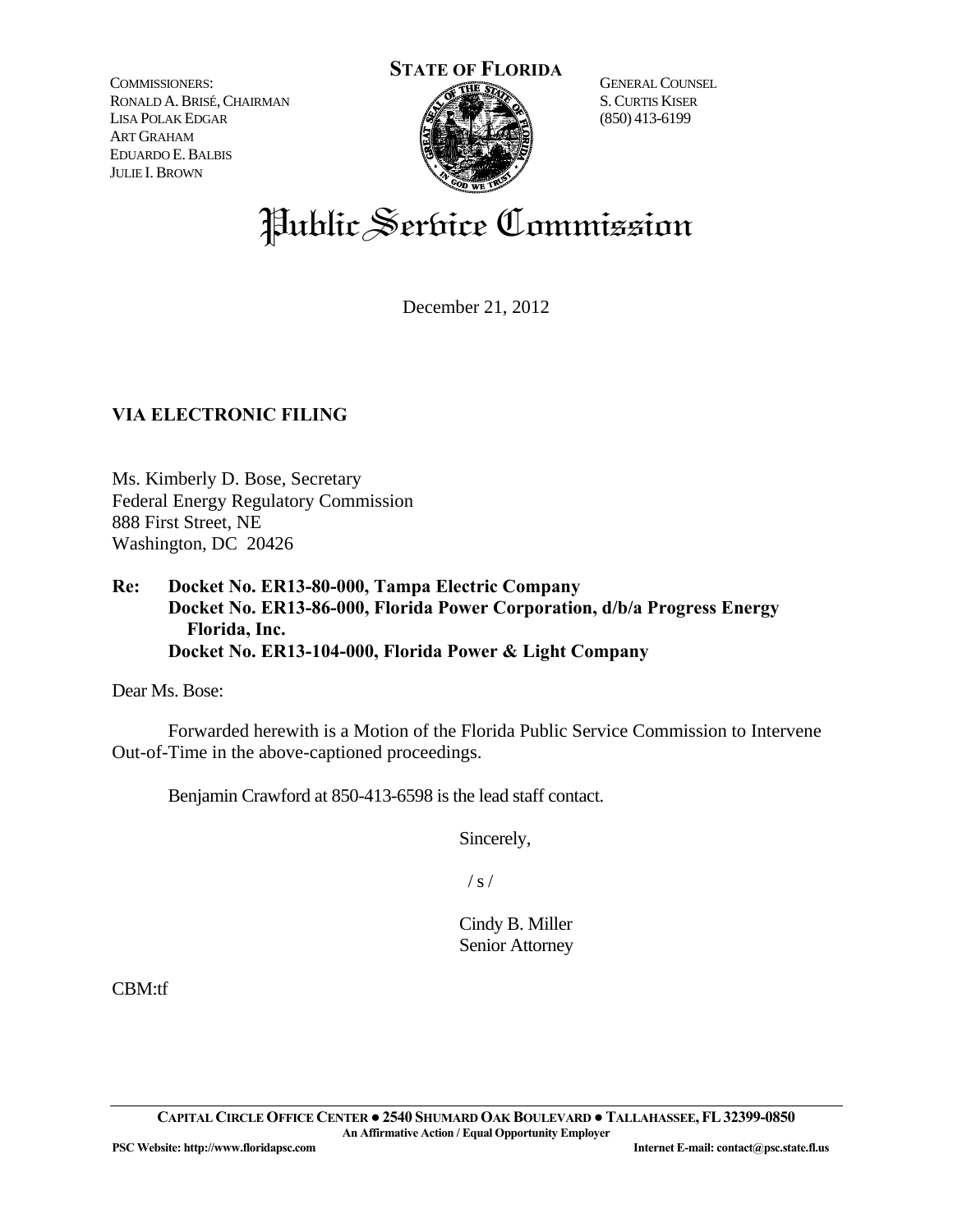COMMISSIONERS: RONALD A.BRISÉ,CHAIRMAN LISA POLAK EDGAR ART GRAHAM EDUARDO E.BALBIS JULIE I.BROWN



GENERAL COUNSEL S.CURTIS KISER (850) 413-6199

# Public Service Commission

December 21, 2012

## **VIA ELECTRONIC FILING**

Ms. Kimberly D. Bose, Secretary Federal Energy Regulatory Commission 888 First Street, NE Washington, DC 20426

**Re: Docket No. ER13-80-000, Tampa Electric Company Docket No. ER13-86-000, Florida Power Corporation, d/b/a Progress Energy Florida, Inc. Docket No. ER13-104-000, Florida Power & Light Company** 

Dear Ms. Bose:

 Forwarded herewith is a Motion of the Florida Public Service Commission to Intervene Out-of-Time in the above-captioned proceedings.

Benjamin Crawford at 850-413-6598 is the lead staff contact.

Sincerely,

 $/ s /$ 

Cindy B. Miller Senior Attorney

CBM:tf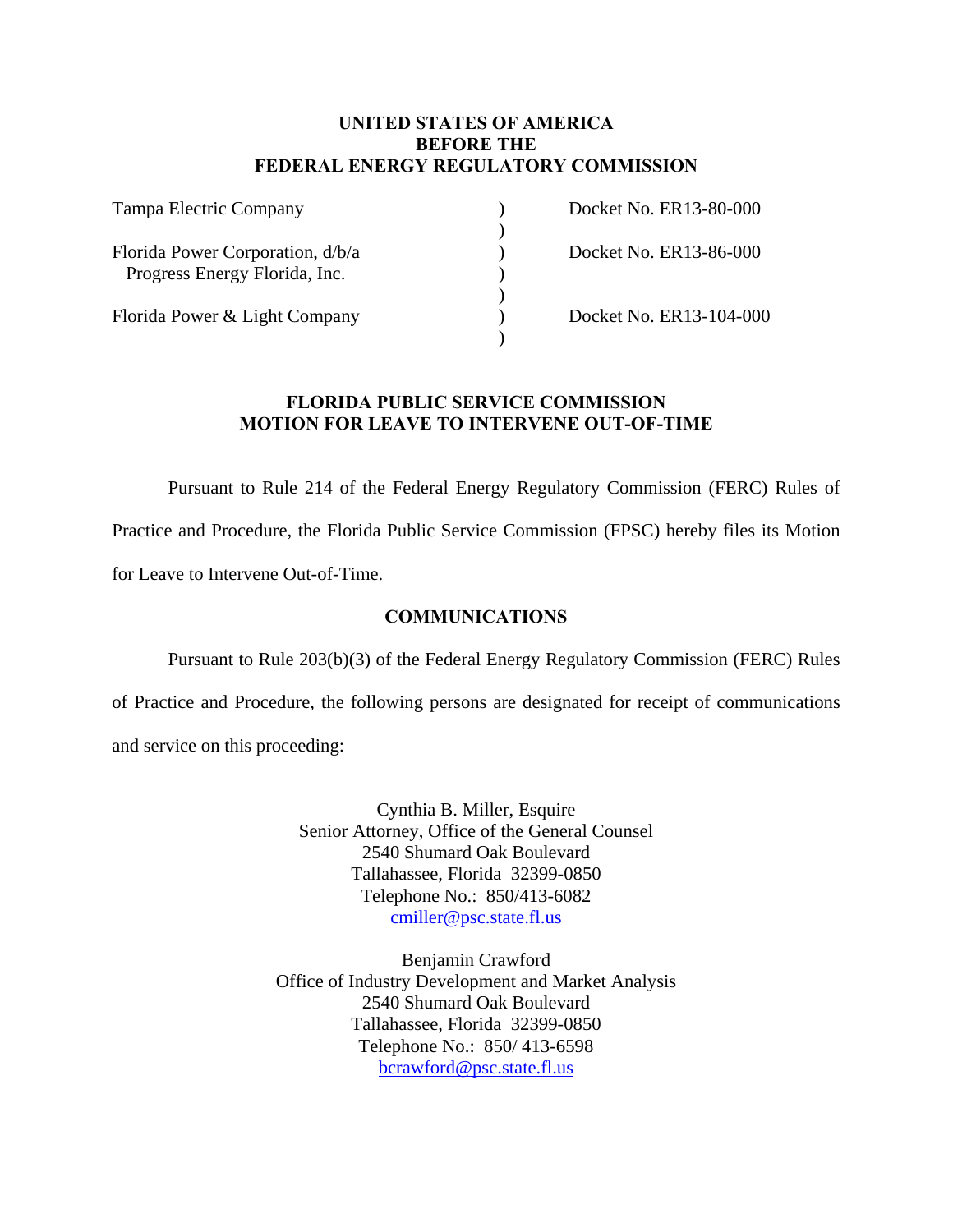#### **UNITED STATES OF AMERICA BEFORE THE FEDERAL ENERGY REGULATORY COMMISSION**

| Tampa Electric Company           | Docket No. ER13-80-000  |
|----------------------------------|-------------------------|
|                                  |                         |
| Florida Power Corporation, d/b/a | Docket No. ER13-86-000  |
| Progress Energy Florida, Inc.    |                         |
|                                  |                         |
| Florida Power & Light Company    | Docket No. ER13-104-000 |
|                                  |                         |

#### **FLORIDA PUBLIC SERVICE COMMISSION MOTION FOR LEAVE TO INTERVENE OUT-OF-TIME**

 Pursuant to Rule 214 of the Federal Energy Regulatory Commission (FERC) Rules of Practice and Procedure, the Florida Public Service Commission (FPSC) hereby files its Motion for Leave to Intervene Out-of-Time.

#### **COMMUNICATIONS**

Pursuant to Rule 203(b)(3) of the Federal Energy Regulatory Commission (FERC) Rules

of Practice and Procedure, the following persons are designated for receipt of communications and service on this proceeding:

> Cynthia B. Miller, Esquire Senior Attorney, Office of the General Counsel 2540 Shumard Oak Boulevard Tallahassee, Florida 32399-0850 Telephone No.: 850/413-6082 cmiller@psc.state.fl.us

Benjamin Crawford Office of Industry Development and Market Analysis 2540 Shumard Oak Boulevard Tallahassee, Florida 32399-0850 Telephone No.: 850/ 413-6598 bcrawford@psc.state.fl.us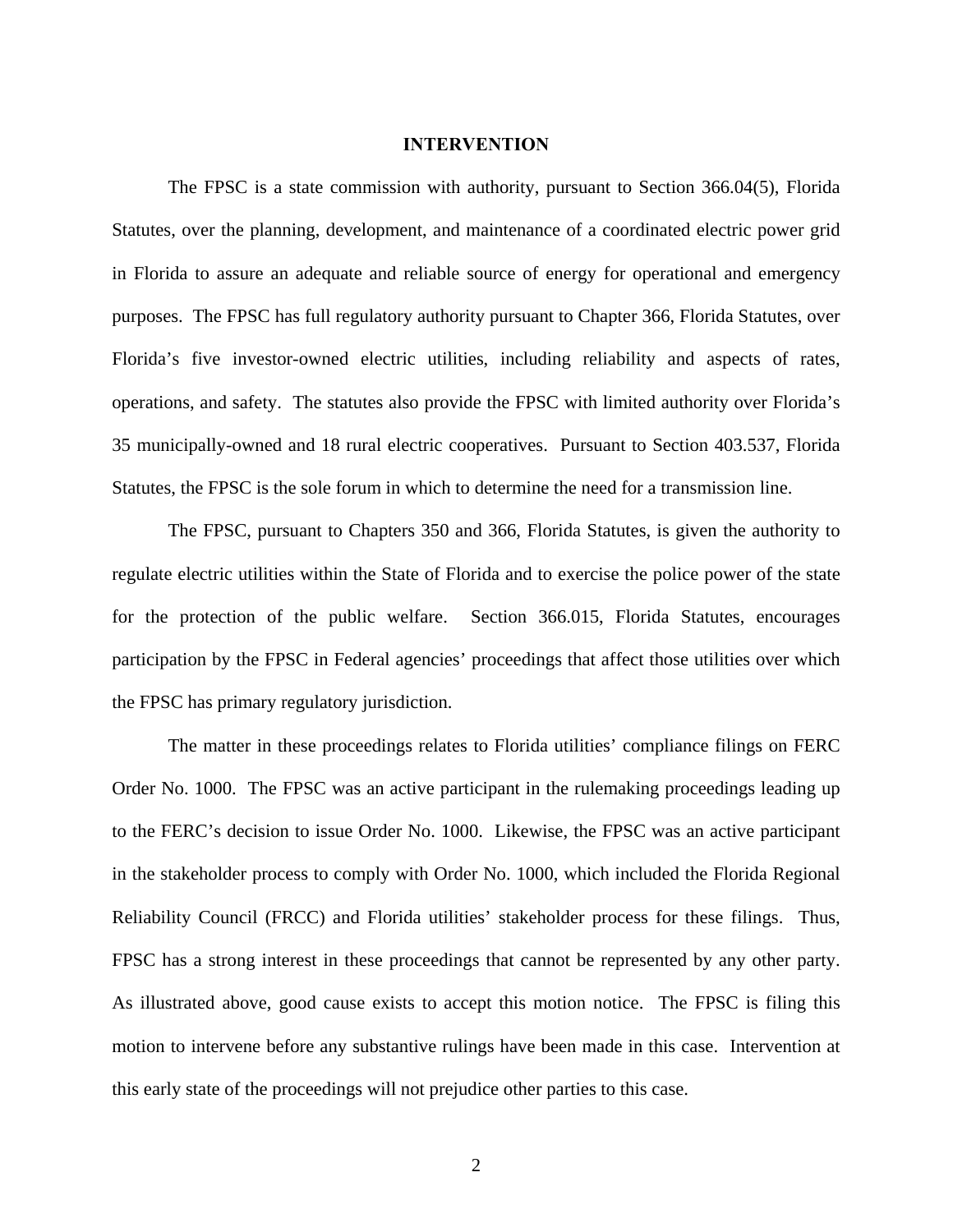#### **INTERVENTION**

 The FPSC is a state commission with authority, pursuant to Section 366.04(5), Florida Statutes, over the planning, development, and maintenance of a coordinated electric power grid in Florida to assure an adequate and reliable source of energy for operational and emergency purposes. The FPSC has full regulatory authority pursuant to Chapter 366, Florida Statutes, over Florida's five investor-owned electric utilities, including reliability and aspects of rates, operations, and safety. The statutes also provide the FPSC with limited authority over Florida's 35 municipally-owned and 18 rural electric cooperatives. Pursuant to Section 403.537, Florida Statutes, the FPSC is the sole forum in which to determine the need for a transmission line.

 The FPSC, pursuant to Chapters 350 and 366, Florida Statutes, is given the authority to regulate electric utilities within the State of Florida and to exercise the police power of the state for the protection of the public welfare. Section 366.015, Florida Statutes, encourages participation by the FPSC in Federal agencies' proceedings that affect those utilities over which the FPSC has primary regulatory jurisdiction.

 The matter in these proceedings relates to Florida utilities' compliance filings on FERC Order No. 1000. The FPSC was an active participant in the rulemaking proceedings leading up to the FERC's decision to issue Order No. 1000. Likewise, the FPSC was an active participant in the stakeholder process to comply with Order No. 1000, which included the Florida Regional Reliability Council (FRCC) and Florida utilities' stakeholder process for these filings. Thus, FPSC has a strong interest in these proceedings that cannot be represented by any other party. As illustrated above, good cause exists to accept this motion notice. The FPSC is filing this motion to intervene before any substantive rulings have been made in this case. Intervention at this early state of the proceedings will not prejudice other parties to this case.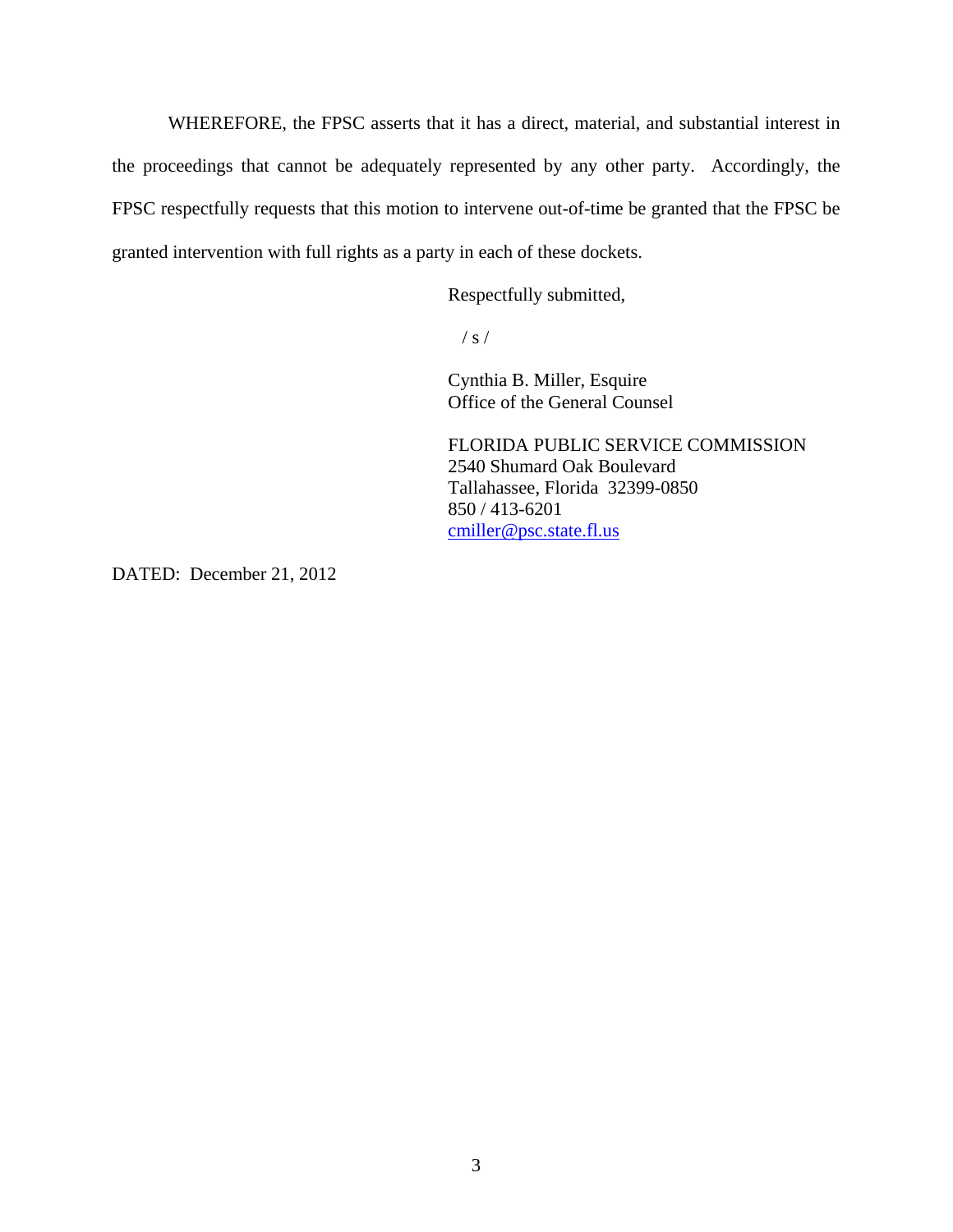WHEREFORE, the FPSC asserts that it has a direct, material, and substantial interest in the proceedings that cannot be adequately represented by any other party. Accordingly, the FPSC respectfully requests that this motion to intervene out-of-time be granted that the FPSC be granted intervention with full rights as a party in each of these dockets.

Respectfully submitted,

 $\frac{1}{s}$  /

 Cynthia B. Miller, Esquire Office of the General Counsel

 FLORIDA PUBLIC SERVICE COMMISSION 2540 Shumard Oak Boulevard Tallahassee, Florida 32399-0850 850 / 413-6201 cmiller@psc.state.fl.us

DATED: December 21, 2012